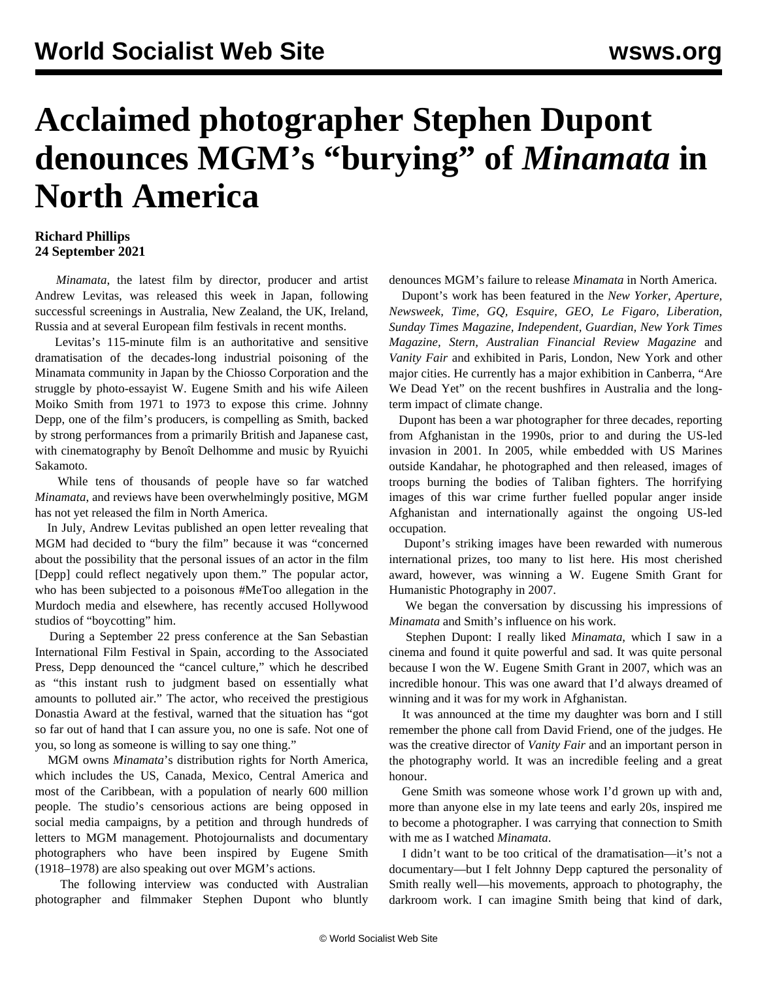## **Acclaimed photographer Stephen Dupont denounces MGM's "burying" of** *Minamata* **in North America**

## **Richard Phillips 24 September 2021**

 *Minamata*, the latest film by director, producer and artist Andrew Levitas, was released this week in Japan, following successful screenings in Australia, New Zealand, the UK, Ireland, Russia and at several European film festivals in recent months.

 Levitas's 115-minute film is an authoritative and sensitive dramatisation of the decades-long industrial poisoning of the Minamata community in Japan by the Chiosso Corporation and the struggle by photo-essayist W. Eugene Smith and his wife Aileen Moiko Smith from 1971 to 1973 to expose this crime. Johnny Depp, one of the film's producers, is compelling as Smith, backed by strong performances from a primarily British and Japanese cast, with cinematography by Benoît Delhomme and music by Ryuichi Sakamoto.

 While tens of thousands of people have so far watched *Minamata*, and reviews have been overwhelmingly positive, MGM has not yet released the film in North America.

 In July, Andrew Levitas published [an open letter](/en/articles/2021/08/04/mina-a04.html) revealing that MGM had decided to "bury the film" because it was "concerned about the possibility that the personal issues of an actor in the film [Depp] could reflect negatively upon them." The popular actor, who has been subjected to a poisonous #MeToo allegation in the Murdoch media and elsewhere, has recently accused Hollywood studios of "boycotting" him.

 During a September 22 press conference at the San Sebastian International Film Festival in Spain, according to the Associated Press, Depp denounced the "cancel culture," which he described as "this instant rush to judgment based on essentially what amounts to polluted air." The actor, who received the prestigious Donastia Award at the festival, warned that the situation has "got so far out of hand that I can assure you, no one is safe. Not one of you, so long as someone is willing to say one thing."

 MGM owns *Minamata*'s distribution rights for North America, which includes the US, Canada, Mexico, Central America and most of the Caribbean, with a population of nearly 600 million people. The studio's censorious actions are being opposed in social media campaigns, by a petition and through hundreds of letters to MGM management. Photojournalists and documentary photographers who have been inspired by Eugene Smith (1918–1978) are also speaking out over MGM's actions.

 The following interview was conducted with [Australian](https://www.stephendupont.com/generation-ak) [photographer and filmmaker Stephen Dupont](https://www.stephendupont.com/generation-ak) who bluntly denounces MGM's failure to release *Minamata* in North America.

 Dupont's work has been featured in the *New Yorker, Aperture, Newsweek, Time, GQ, Esquire, GEO, Le Figaro, Liberation, Sunday Times Magazine, Independent, Guardian, New York Times Magazine, Stern, Australian Financial Review Magazine* and *Vanity Fair* and exhibited in Paris, London, New York and other major cities. He currently has a major exhibition in Canberra, "[Are](https://www.stephendupont.com) [We Dead Yet](https://www.stephendupont.com)" on the recent bushfires in Australia and the longterm impact of climate change.

 Dupont has been a war photographer for three decades, reporting from Afghanistan in the 1990s, prior to and during the US-led invasion in 2001. In 2005, while embedded with US Marines outside Kandahar, he photographed and then released, images of troops burning the bodies of Taliban fighters. The horrifying images of this war crime further fuelled popular anger inside Afghanistan and internationally against the ongoing US-led occupation.

 Dupont's striking images have been rewarded with numerous international prizes, too many to list here. His most cherished award, however, was winning a W. Eugene Smith Grant for Humanistic Photography in 2007.

 We began the conversation by discussing his impressions of *Minamata* and Smith's influence on his work.

 Stephen Dupont: I really liked *Minamata*, which I saw in a cinema and found it quite powerful and sad. It was quite personal because I won the W. Eugene Smith Grant in 2007, which was an incredible honour. This was one award that I'd always dreamed of winning and it was for my work in Afghanistan.

 It was announced at the time my daughter was born and I still remember the phone call from David Friend, one of the judges. He was the creative director of *Vanity Fair* and an important person in the photography world. It was an incredible feeling and a great honour.

 Gene Smith was someone whose work I'd grown up with and, more than anyone else in my late teens and early 20s, inspired me to become a photographer. I was carrying that connection to Smith with me as I watched *Minamata*.

 I didn't want to be too critical of the dramatisation—it's not a documentary—but I felt Johnny Depp captured the personality of Smith really well—his movements, approach to photography, the darkroom work. I can imagine Smith being that kind of dark,